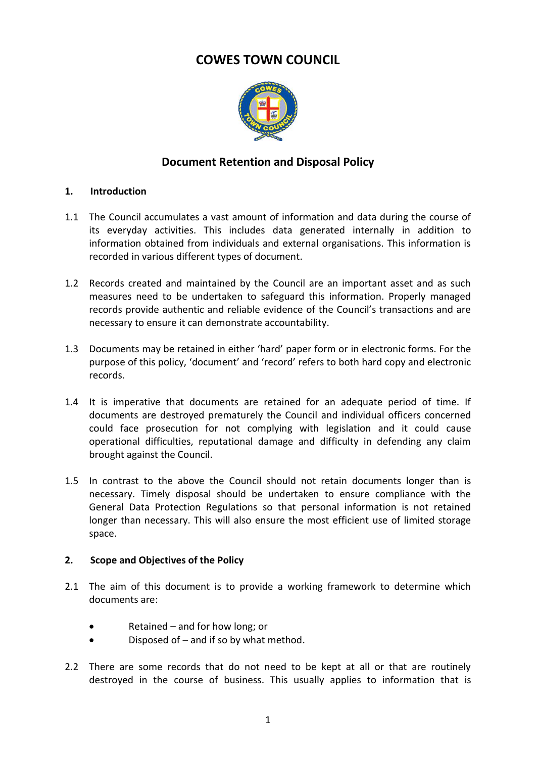## **COWES TOWN COUNCIL**



### **Document Retention and Disposal Policy**

#### **1. Introduction**

- 1.1 The Council accumulates a vast amount of information and data during the course of its everyday activities. This includes data generated internally in addition to information obtained from individuals and external organisations. This information is recorded in various different types of document.
- 1.2 Records created and maintained by the Council are an important asset and as such measures need to be undertaken to safeguard this information. Properly managed records provide authentic and reliable evidence of the Council's transactions and are necessary to ensure it can demonstrate accountability.
- 1.3 Documents may be retained in either 'hard' paper form or in electronic forms. For the purpose of this policy, 'document' and 'record' refers to both hard copy and electronic records.
- 1.4 It is imperative that documents are retained for an adequate period of time. If documents are destroyed prematurely the Council and individual officers concerned could face prosecution for not complying with legislation and it could cause operational difficulties, reputational damage and difficulty in defending any claim brought against the Council.
- 1.5 In contrast to the above the Council should not retain documents longer than is necessary. Timely disposal should be undertaken to ensure compliance with the General Data Protection Regulations so that personal information is not retained longer than necessary. This will also ensure the most efficient use of limited storage space.

#### **2. Scope and Objectives of the Policy**

- 2.1 The aim of this document is to provide a working framework to determine which documents are:
	- Retained and for how long; or
	- Disposed of and if so by what method.
- 2.2 There are some records that do not need to be kept at all or that are routinely destroyed in the course of business. This usually applies to information that is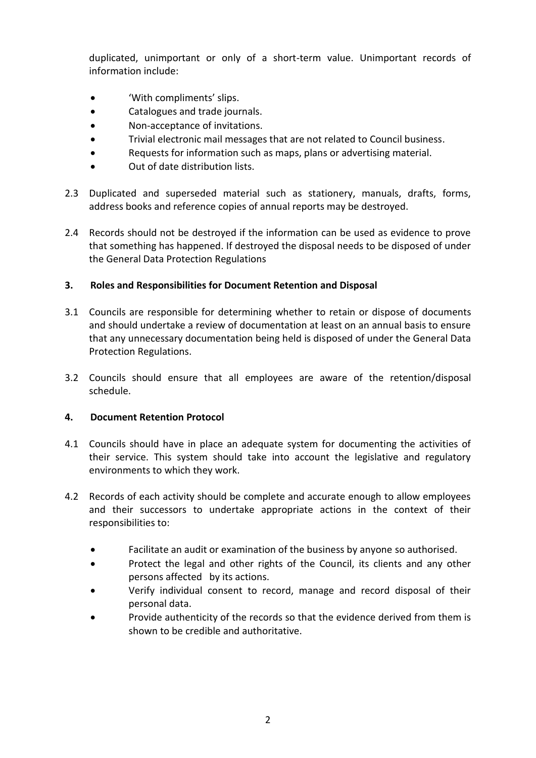duplicated, unimportant or only of a short-term value. Unimportant records of information include:

- 'With compliments' slips.
- Catalogues and trade journals.
- Non-acceptance of invitations.
- Trivial electronic mail messages that are not related to Council business.
- Requests for information such as maps, plans or advertising material.
- Out of date distribution lists.
- 2.3 Duplicated and superseded material such as stationery, manuals, drafts, forms, address books and reference copies of annual reports may be destroyed.
- 2.4 Records should not be destroyed if the information can be used as evidence to prove that something has happened. If destroyed the disposal needs to be disposed of under the General Data Protection Regulations

#### **3. Roles and Responsibilities for Document Retention and Disposal**

- 3.1 Councils are responsible for determining whether to retain or dispose of documents and should undertake a review of documentation at least on an annual basis to ensure that any unnecessary documentation being held is disposed of under the General Data Protection Regulations.
- 3.2 Councils should ensure that all employees are aware of the retention/disposal schedule.

#### **4. Document Retention Protocol**

- 4.1 Councils should have in place an adequate system for documenting the activities of their service. This system should take into account the legislative and regulatory environments to which they work.
- 4.2 Records of each activity should be complete and accurate enough to allow employees and their successors to undertake appropriate actions in the context of their responsibilities to:
	- Facilitate an audit or examination of the business by anyone so authorised.
	- Protect the legal and other rights of the Council, its clients and any other persons affected by its actions.
	- Verify individual consent to record, manage and record disposal of their personal data.
	- Provide authenticity of the records so that the evidence derived from them is shown to be credible and authoritative.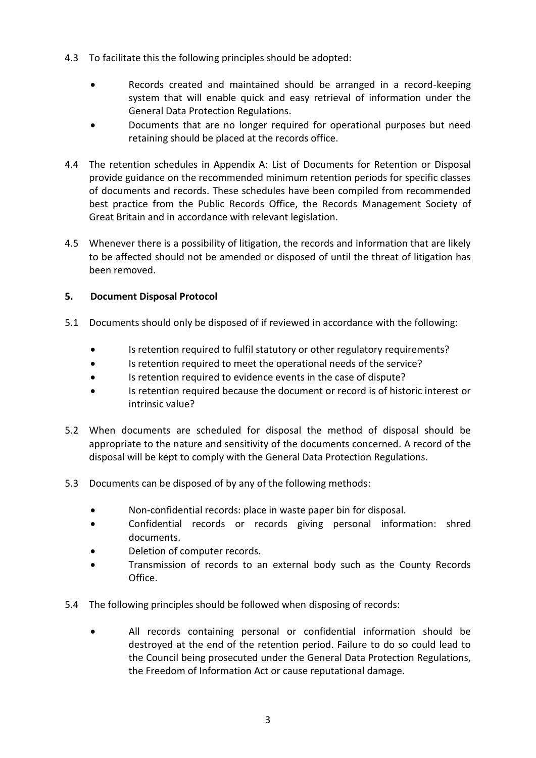- 4.3 To facilitate this the following principles should be adopted:
	- Records created and maintained should be arranged in a record-keeping system that will enable quick and easy retrieval of information under the General Data Protection Regulations.
	- Documents that are no longer required for operational purposes but need retaining should be placed at the records office.
- 4.4 The retention schedules in Appendix A: List of Documents for Retention or Disposal provide guidance on the recommended minimum retention periods for specific classes of documents and records. These schedules have been compiled from recommended best practice from the Public Records Office, the Records Management Society of Great Britain and in accordance with relevant legislation.
- 4.5 Whenever there is a possibility of litigation, the records and information that are likely to be affected should not be amended or disposed of until the threat of litigation has been removed.

#### **5. Document Disposal Protocol**

- 5.1 Documents should only be disposed of if reviewed in accordance with the following:
	- Is retention required to fulfil statutory or other regulatory requirements?
	- Is retention required to meet the operational needs of the service?
	- Is retention required to evidence events in the case of dispute?
	- Is retention required because the document or record is of historic interest or intrinsic value?
- 5.2 When documents are scheduled for disposal the method of disposal should be appropriate to the nature and sensitivity of the documents concerned. A record of the disposal will be kept to comply with the General Data Protection Regulations.
- 5.3 Documents can be disposed of by any of the following methods:
	- Non-confidential records: place in waste paper bin for disposal.
	- Confidential records or records giving personal information: shred documents.
	- Deletion of computer records.
	- Transmission of records to an external body such as the County Records Office.
- 5.4 The following principles should be followed when disposing of records:
	- All records containing personal or confidential information should be destroyed at the end of the retention period. Failure to do so could lead to the Council being prosecuted under the General Data Protection Regulations, the Freedom of Information Act or cause reputational damage.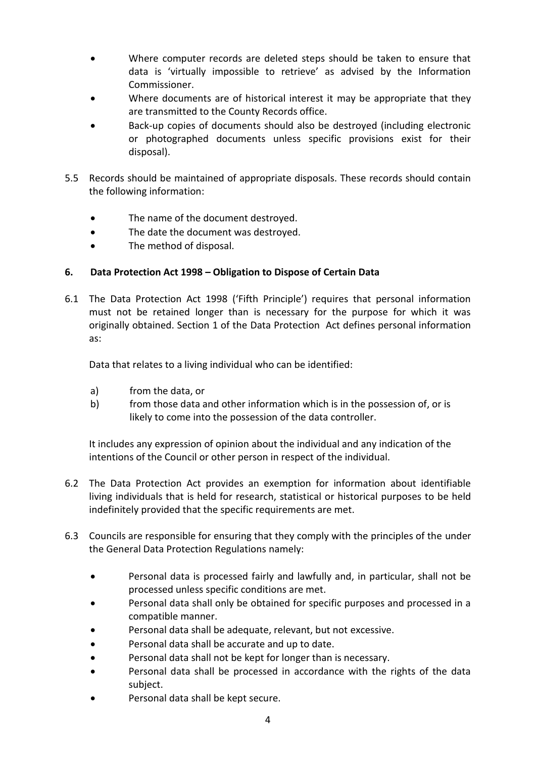- Where computer records are deleted steps should be taken to ensure that data is 'virtually impossible to retrieve' as advised by the Information Commissioner.
- Where documents are of historical interest it may be appropriate that they are transmitted to the County Records office.
- Back-up copies of documents should also be destroyed (including electronic or photographed documents unless specific provisions exist for their disposal).
- 5.5 Records should be maintained of appropriate disposals. These records should contain the following information:
	- The name of the document destroyed.
	- The date the document was destroyed.
	- The method of disposal.

#### **6. Data Protection Act 1998 – Obligation to Dispose of Certain Data**

6.1 The Data Protection Act 1998 ('Fifth Principle') requires that personal information must not be retained longer than is necessary for the purpose for which it was originally obtained. Section 1 of the Data Protection Act defines personal information as:

Data that relates to a living individual who can be identified:

- a) from the data, or
- b) from those data and other information which is in the possession of, or is likely to come into the possession of the data controller.

It includes any expression of opinion about the individual and any indication of the intentions of the Council or other person in respect of the individual.

- 6.2 The Data Protection Act provides an exemption for information about identifiable living individuals that is held for research, statistical or historical purposes to be held indefinitely provided that the specific requirements are met.
- 6.3 Councils are responsible for ensuring that they comply with the principles of the under the General Data Protection Regulations namely:
	- Personal data is processed fairly and lawfully and, in particular, shall not be processed unless specific conditions are met.
	- Personal data shall only be obtained for specific purposes and processed in a compatible manner.
	- Personal data shall be adequate, relevant, but not excessive.
	- Personal data shall be accurate and up to date.
	- Personal data shall not be kept for longer than is necessary.
	- Personal data shall be processed in accordance with the rights of the data subject.
	- Personal data shall be kept secure.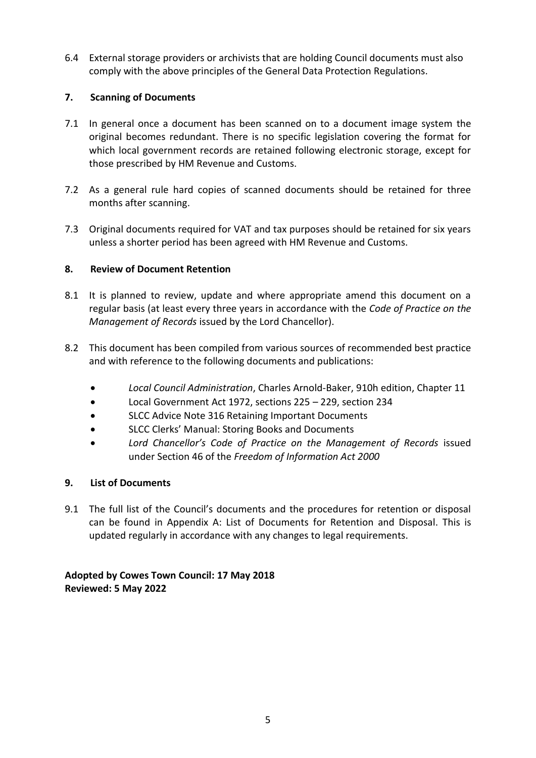6.4 External storage providers or archivists that are holding Council documents must also comply with the above principles of the General Data Protection Regulations.

#### **7. Scanning of Documents**

- 7.1 In general once a document has been scanned on to a document image system the original becomes redundant. There is no specific legislation covering the format for which local government records are retained following electronic storage, except for those prescribed by HM Revenue and Customs.
- 7.2 As a general rule hard copies of scanned documents should be retained for three months after scanning.
- 7.3 Original documents required for VAT and tax purposes should be retained for six years unless a shorter period has been agreed with HM Revenue and Customs.

#### **8. Review of Document Retention**

- 8.1 It is planned to review, update and where appropriate amend this document on a regular basis (at least every three years in accordance with the *Code of Practice on the Management of Records* issued by the Lord Chancellor).
- 8.2 This document has been compiled from various sources of recommended best practice and with reference to the following documents and publications:
	- *Local Council Administration*, Charles Arnold-Baker, 910h edition, Chapter 11
	- Local Government Act 1972, sections 225 229, section 234
	- SLCC Advice Note 316 Retaining Important Documents
	- SLCC Clerks' Manual: Storing Books and Documents
	- *Lord Chancellor's Code of Practice on the Management of Records* issued under Section 46 of the *Freedom of Information Act 2000*

#### **9. List of Documents**

9.1 The full list of the Council's documents and the procedures for retention or disposal can be found in Appendix A: List of Documents for Retention and Disposal. This is updated regularly in accordance with any changes to legal requirements.

**Adopted by Cowes Town Council: 17 May 2018 Reviewed: 5 May 2022**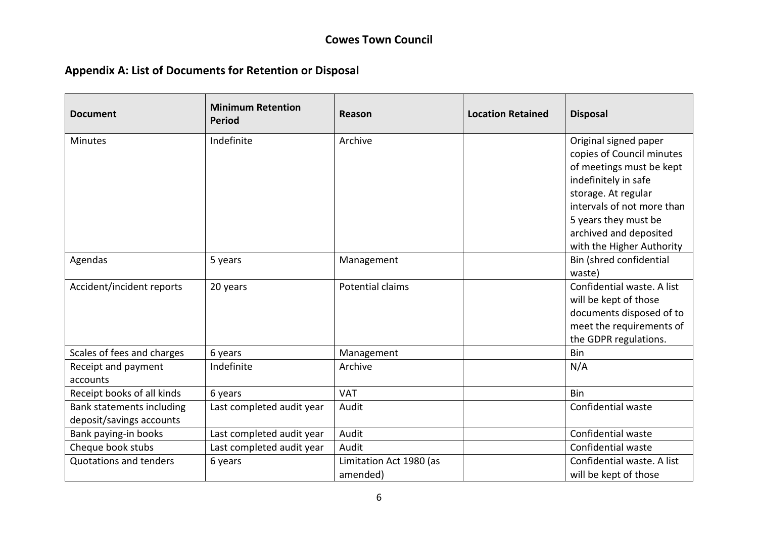# **Appendix A: List of Documents for Retention or Disposal**

| <b>Document</b>               | <b>Minimum Retention</b><br><b>Period</b> | Reason                  | <b>Location Retained</b> | <b>Disposal</b>            |
|-------------------------------|-------------------------------------------|-------------------------|--------------------------|----------------------------|
| <b>Minutes</b>                | Indefinite                                | Archive                 |                          | Original signed paper      |
|                               |                                           |                         |                          | copies of Council minutes  |
|                               |                                           |                         |                          | of meetings must be kept   |
|                               |                                           |                         |                          | indefinitely in safe       |
|                               |                                           |                         |                          | storage. At regular        |
|                               |                                           |                         |                          | intervals of not more than |
|                               |                                           |                         |                          | 5 years they must be       |
|                               |                                           |                         |                          | archived and deposited     |
|                               |                                           |                         |                          | with the Higher Authority  |
| Agendas                       | 5 years                                   | Management              |                          | Bin (shred confidential    |
|                               |                                           |                         |                          | waste)                     |
| Accident/incident reports     | 20 years                                  | Potential claims        |                          | Confidential waste. A list |
|                               |                                           |                         |                          | will be kept of those      |
|                               |                                           |                         |                          | documents disposed of to   |
|                               |                                           |                         |                          | meet the requirements of   |
|                               |                                           |                         |                          | the GDPR regulations.      |
| Scales of fees and charges    | 6 years                                   | Management              |                          | Bin                        |
| Receipt and payment           | Indefinite                                | Archive                 |                          | N/A                        |
| accounts                      |                                           |                         |                          |                            |
| Receipt books of all kinds    | 6 years                                   | <b>VAT</b>              |                          | Bin                        |
| Bank statements including     | Last completed audit year                 | Audit                   |                          | Confidential waste         |
| deposit/savings accounts      |                                           |                         |                          |                            |
| Bank paying-in books          | Last completed audit year                 | Audit                   |                          | Confidential waste         |
| Cheque book stubs             | Last completed audit year                 | Audit                   |                          | Confidential waste         |
| <b>Quotations and tenders</b> | 6 years                                   | Limitation Act 1980 (as |                          | Confidential waste. A list |
|                               |                                           | amended)                |                          | will be kept of those      |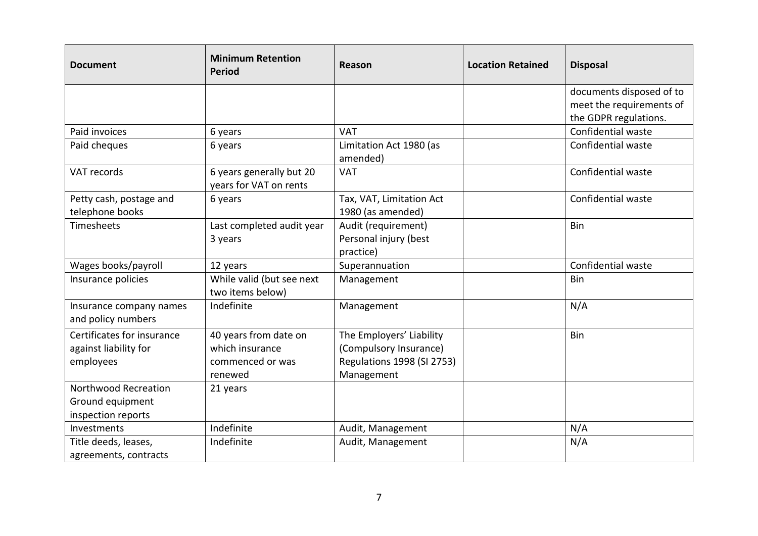| <b>Document</b>             | <b>Minimum Retention</b><br><b>Period</b> | Reason                            | <b>Location Retained</b> | <b>Disposal</b>          |
|-----------------------------|-------------------------------------------|-----------------------------------|--------------------------|--------------------------|
|                             |                                           |                                   |                          | documents disposed of to |
|                             |                                           |                                   |                          | meet the requirements of |
|                             |                                           |                                   |                          | the GDPR regulations.    |
| Paid invoices               | 6 years                                   | <b>VAT</b>                        |                          | Confidential waste       |
| Paid cheques                | 6 years                                   | Limitation Act 1980 (as           |                          | Confidential waste       |
|                             |                                           | amended)                          |                          |                          |
| VAT records                 | 6 years generally but 20                  | <b>VAT</b>                        |                          | Confidential waste       |
|                             | years for VAT on rents                    |                                   |                          |                          |
| Petty cash, postage and     | 6 years                                   | Tax, VAT, Limitation Act          |                          | Confidential waste       |
| telephone books             |                                           | 1980 (as amended)                 |                          |                          |
| Timesheets                  | Last completed audit year                 | Audit (requirement)               |                          | Bin                      |
|                             | 3 years                                   | Personal injury (best             |                          |                          |
|                             |                                           | practice)                         |                          |                          |
| Wages books/payroll         | 12 years                                  | Superannuation                    |                          | Confidential waste       |
| Insurance policies          | While valid (but see next                 | Management                        |                          | Bin                      |
|                             | two items below)                          |                                   |                          |                          |
| Insurance company names     | Indefinite                                | Management                        |                          | N/A                      |
| and policy numbers          |                                           |                                   |                          |                          |
| Certificates for insurance  | 40 years from date on                     | The Employers' Liability          |                          | Bin                      |
| against liability for       | which insurance                           | (Compulsory Insurance)            |                          |                          |
| employees                   | commenced or was                          | <b>Regulations 1998 (SI 2753)</b> |                          |                          |
|                             | renewed                                   | Management                        |                          |                          |
| <b>Northwood Recreation</b> | 21 years                                  |                                   |                          |                          |
| Ground equipment            |                                           |                                   |                          |                          |
| inspection reports          |                                           |                                   |                          |                          |
| Investments                 | Indefinite                                | Audit, Management                 |                          | N/A                      |
| Title deeds, leases,        | Indefinite                                | Audit, Management                 |                          | N/A                      |
| agreements, contracts       |                                           |                                   |                          |                          |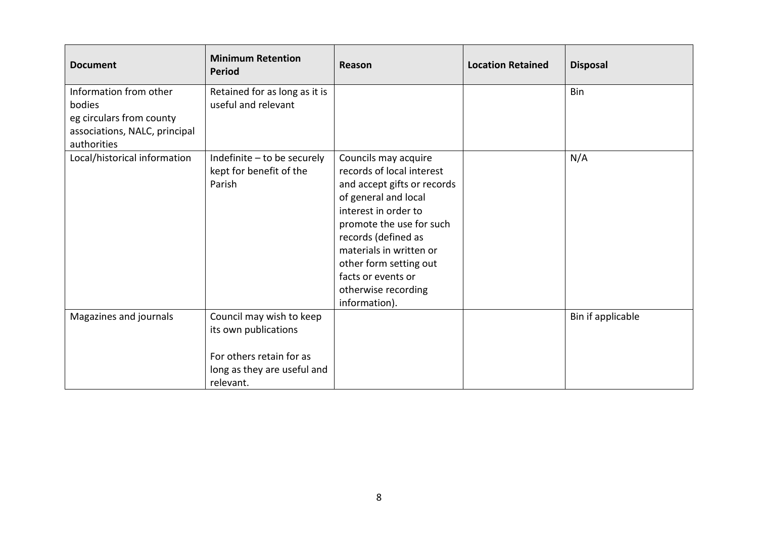| <b>Document</b>                                                                                              | <b>Minimum Retention</b><br><b>Period</b>                                                                   | Reason                                                                                                                                                                                                                                                                                                 | <b>Location Retained</b> | <b>Disposal</b>   |
|--------------------------------------------------------------------------------------------------------------|-------------------------------------------------------------------------------------------------------------|--------------------------------------------------------------------------------------------------------------------------------------------------------------------------------------------------------------------------------------------------------------------------------------------------------|--------------------------|-------------------|
| Information from other<br>bodies<br>eg circulars from county<br>associations, NALC, principal<br>authorities | Retained for as long as it is<br>useful and relevant                                                        |                                                                                                                                                                                                                                                                                                        |                          | Bin               |
| Local/historical information                                                                                 | Indefinite - to be securely<br>kept for benefit of the<br>Parish                                            | Councils may acquire<br>records of local interest<br>and accept gifts or records<br>of general and local<br>interest in order to<br>promote the use for such<br>records (defined as<br>materials in written or<br>other form setting out<br>facts or events or<br>otherwise recording<br>information). |                          | N/A               |
| Magazines and journals                                                                                       | Council may wish to keep<br>its own publications<br>For others retain for as<br>long as they are useful and |                                                                                                                                                                                                                                                                                                        |                          | Bin if applicable |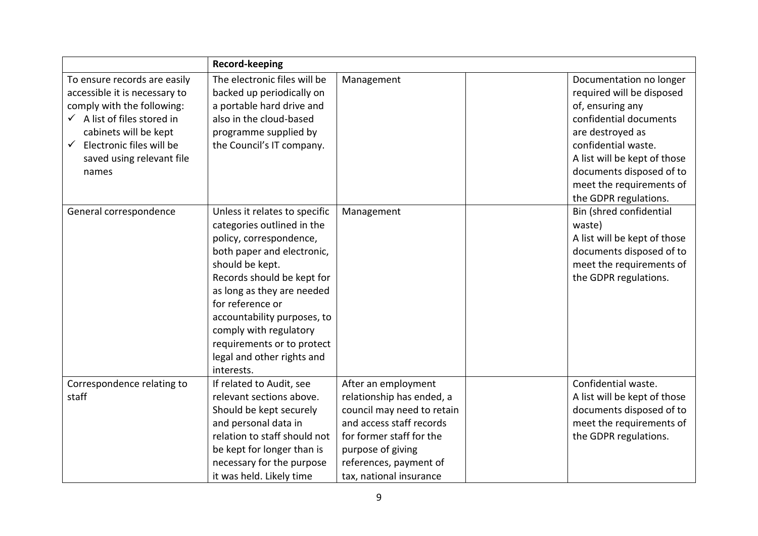|                                          | <b>Record-keeping</b>         |                            |                              |
|------------------------------------------|-------------------------------|----------------------------|------------------------------|
| To ensure records are easily             | The electronic files will be  | Management                 | Documentation no longer      |
| accessible it is necessary to            | backed up periodically on     |                            | required will be disposed    |
| comply with the following:               | a portable hard drive and     |                            | of, ensuring any             |
| $\checkmark$ A list of files stored in   | also in the cloud-based       |                            | confidential documents       |
| cabinets will be kept                    | programme supplied by         |                            | are destroyed as             |
| Electronic files will be<br>$\checkmark$ | the Council's IT company.     |                            | confidential waste.          |
| saved using relevant file                |                               |                            | A list will be kept of those |
| names                                    |                               |                            | documents disposed of to     |
|                                          |                               |                            | meet the requirements of     |
|                                          |                               |                            | the GDPR regulations.        |
| General correspondence                   | Unless it relates to specific | Management                 | Bin (shred confidential      |
|                                          | categories outlined in the    |                            | waste)                       |
|                                          | policy, correspondence,       |                            | A list will be kept of those |
|                                          | both paper and electronic,    |                            | documents disposed of to     |
|                                          | should be kept.               |                            | meet the requirements of     |
|                                          | Records should be kept for    |                            | the GDPR regulations.        |
|                                          | as long as they are needed    |                            |                              |
|                                          | for reference or              |                            |                              |
|                                          | accountability purposes, to   |                            |                              |
|                                          | comply with regulatory        |                            |                              |
|                                          | requirements or to protect    |                            |                              |
|                                          | legal and other rights and    |                            |                              |
|                                          | interests.                    |                            |                              |
| Correspondence relating to               | If related to Audit, see      | After an employment        | Confidential waste.          |
| staff                                    | relevant sections above.      | relationship has ended, a  | A list will be kept of those |
|                                          | Should be kept securely       | council may need to retain | documents disposed of to     |
|                                          | and personal data in          | and access staff records   | meet the requirements of     |
|                                          | relation to staff should not  | for former staff for the   | the GDPR regulations.        |
|                                          | be kept for longer than is    | purpose of giving          |                              |
|                                          | necessary for the purpose     | references, payment of     |                              |
|                                          | it was held. Likely time      | tax, national insurance    |                              |